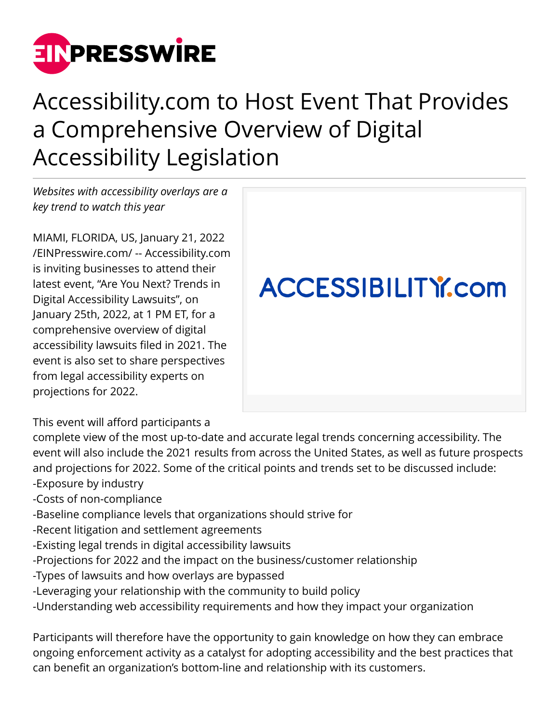

## Accessibility.com to Host Event That Provides a Comprehensive Overview of Digital Accessibility Legislation

*Websites with accessibility overlays are a key trend to watch this year*

MIAMI, FLORIDA, US, January 21, 2022 [/EINPresswire.com/](http://www.einpresswire.com) -- Accessibility.com is inviting businesses to attend their latest event, "Are You Next? Trends in Digital Accessibility Lawsuits", on January 25th, 2022, at 1 PM ET, for a comprehensive overview of digital accessibility lawsuits filed in 2021. The event is also set to share perspectives from legal accessibility experts on projections for 2022.

## **ACCESSIBILITY.com**

This event will afford participants a

complete view of the most up-to-date and accurate legal trends concerning accessibility. The event will also include the 2021 results from across the United States, as well as future prospects and projections for 2022. Some of the critical points and trends set to be discussed include: -Exposure by industry

-Costs of non-compliance

- -Baseline compliance levels that organizations should strive for
- -Recent litigation and settlement agreements
- -Existing legal trends in digital accessibility lawsuits
- -Projections for 2022 and the impact on the business/customer relationship
- -Types of lawsuits and how overlays are bypassed
- -Leveraging your relationship with the community to build policy
- -Understanding web accessibility requirements and how they impact your organization

Participants will therefore have the opportunity to gain knowledge on how they can embrace ongoing enforcement activity as a catalyst for adopting accessibility and the best practices that can benefit an organization's bottom-line and relationship with its customers.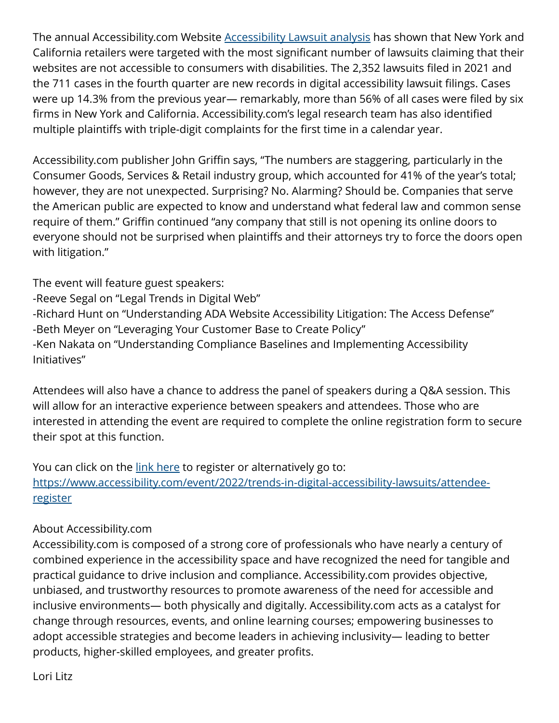The annual Accessibility.com Website [Accessibility Lawsuit analysis](https://www.accessibility.com/complete-report-2021-website-accessibility-lawsuits) has shown that New York and California retailers were targeted with the most significant number of lawsuits claiming that their websites are not accessible to consumers with disabilities. The 2,352 lawsuits filed in 2021 and the 711 cases in the fourth quarter are new records in digital accessibility lawsuit filings. Cases were up 14.3% from the previous year— remarkably, more than 56% of all cases were filed by six firms in New York and California. Accessibility.com's legal research team has also identified multiple plaintiffs with triple-digit complaints for the first time in a calendar year.

Accessibility.com publisher John Griffin says, "The numbers are staggering, particularly in the Consumer Goods, Services & Retail industry group, which accounted for 41% of the year's total; however, they are not unexpected. Surprising? No. Alarming? Should be. Companies that serve the American public are expected to know and understand what federal law and common sense require of them." Griffin continued "any company that still is not opening its online doors to everyone should not be surprised when plaintiffs and their attorneys try to force the doors open with litigation."

The event will feature guest speakers:

- -Reeve Segal on "Legal Trends in Digital Web"
- -Richard Hunt on "Understanding ADA Website Accessibility Litigation: The Access Defense" -Beth Meyer on "Leveraging Your Customer Base to Create Policy"
- -Ken Nakata on "Understanding Compliance Baselines and Implementing Accessibility Initiatives"

Attendees will also have a chance to address the panel of speakers during a Q&A session. This will allow for an interactive experience between speakers and attendees. Those who are interested in attending the event are required to complete the online registration form to secure their spot at this function.

You can click on the [link here](https://www.accessibility.com/event/2022/trends-in-digital-accessibility-lawsuits/attendee-register) to register or alternatively go to: [https://www.accessibility.com/event/2022/trends-in-digital-accessibility-lawsuits/attendee](https://www.accessibility.com/event/2022/trends-in-digital-accessibility-lawsuits/attendee-register)[register](https://www.accessibility.com/event/2022/trends-in-digital-accessibility-lawsuits/attendee-register)

## About Accessibility.com

Accessibility.com is composed of a strong core of professionals who have nearly a century of combined experience in the accessibility space and have recognized the need for tangible and practical guidance to drive inclusion and compliance. Accessibility.com provides objective, unbiased, and trustworthy resources to promote awareness of the need for accessible and inclusive environments— both physically and digitally. Accessibility.com acts as a catalyst for change through resources, events, and online learning courses; empowering businesses to adopt accessible strategies and become leaders in achieving inclusivity— leading to better products, higher-skilled employees, and greater profits.

Lori Litz